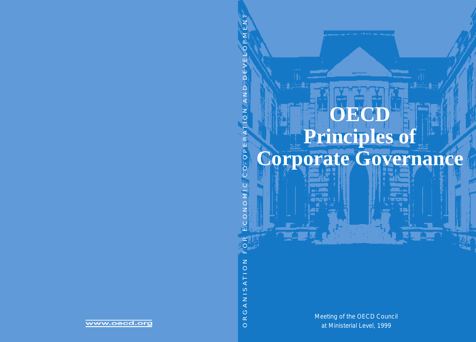**OECD Principles of Corporate Governance**

> Meeting of the OECD Council at Ministerial Level, 1999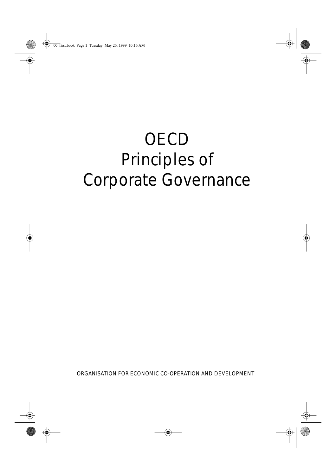# **OECD** Principles of Corporate Governance

ORGANISATION FOR ECONOMIC CO-OPERATION AND DEVELOPMENT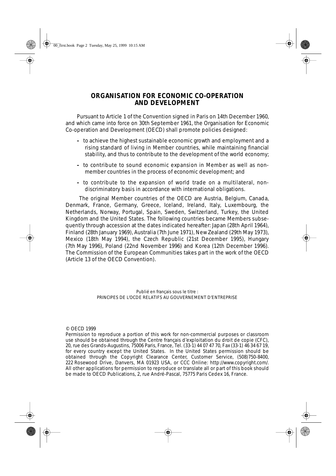### **ORGANISATION FOR ECONOMIC CO-OPERATION AND DEVELOPMENT**

Pursuant to Article 1 of the Convention signed in Paris on 14th December 1960, and which came into force on 30th September 1961, the Organisation for Economic Co-operation and Development (OECD) shall promote policies designed:

- **–** to achieve the highest sustainable economic growth and employment and a rising standard of living in Member countries, while maintaining financial stability, and thus to contribute to the development of the world economy;
- **–** to contribute to sound economic expansion in Member as well as nonmember countries in the process of economic development; and
- **–** to contribute to the expansion of world trade on a multilateral, nondiscriminatory basis in accordance with international obligations.

 The original Member countries of the OECD are Austria, Belgium, Canada, Denmark, France, Germany, Greece, Iceland, Ireland, Italy, Luxembourg, the Netherlands, Norway, Portugal, Spain, Sweden, Switzerland, Turkey, the United Kingdom and the United States. The following countries became Members subsequently through accession at the dates indicated hereafter: Japan (28th April 1964), Finland (28th January 1969), Australia (7th June 1971), New Zealand (29th May 1973), Mexico (18th May 1994), the Czech Republic (21st December 1995), Hungary (7th May 1996), Poland (22nd November 1996) and Korea (12th December 1996). The Commission of the European Communities takes part in the work of the OECD (Article 13 of the OECD Convention).

> Publié en français sous le titre : PRINCIPES DE L'OCDE RELATIFS AU GOUVERNEMENT D'ENTREPRISE

#### © OECD 1999

Permission to reproduce a portion of this work for non-commercial purposes or classroom use should be obtained through the Centre français d'exploitation du droit de copie (CFC), 20, rue des Grands-Augustins, 75006 Paris, France, Tel. (33-1) 44 07 47 70, Fax (33-1) 46 34 67 19, for every country except the United States. In the United States permission should be obtained through the Copyright Clearance Center, Customer Service, (508)750-8400, 222 Rosewood Drive, Danvers, MA 01923 USA, or CCC Online: http://www.copyright.com/. All other applications for permission to reproduce or translate all or part of this book should be made to OECD Publications, 2, rue André-Pascal, 75775 Paris Cedex 16, France.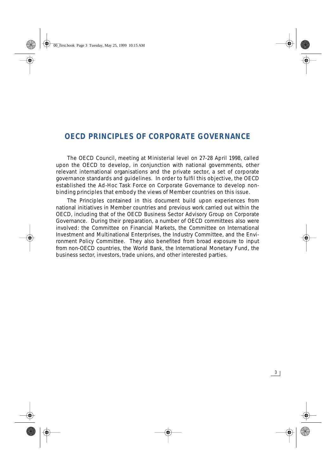# **OECD PRINCIPLES OF CORPORATE GOVERNANCE**

The OECD Council, meeting at Ministerial level on 27-28 April 1998, called upon the OECD to develop, in conjunction with national governments, other relevant international organisations and the private sector, a set of corporate governance standards and guidelines. In order to fulfil this objective, the OECD established the Ad-Hoc Task Force on Corporate Governance to develop nonbinding principles that embody the views of Member countries on this issue.

The Principles contained in this document build upon experiences from national initiatives in Member countries and previous work carried out within the OECD, including that of the OECD Business Sector Advisory Group on Corporate Governance. During their preparation, a number of OECD committees also were involved: the Committee on Financial Markets, the Committee on International Investment and Multinational Enterprises, the Industry Committee, and the Environment Policy Committee. They also benefited from broad exposure to input from non-OECD countries, the World Bank, the International Monetary Fund, the business sector, investors, trade unions, and other interested parties.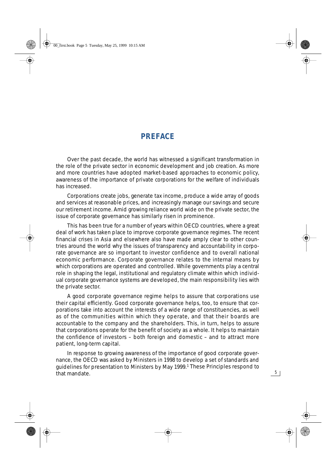## **PREFACE**

Over the past decade, the world has witnessed a significant transformation in the role of the private sector in economic development and job creation. As more and more countries have adopted market-based approaches to economic policy, awareness of the importance of private corporations for the welfare of individuals has increased.

Corporations create jobs, generate tax income, produce a wide array of goods and services at reasonable prices, and increasingly manage our savings and secure our retirement income. Amid growing reliance world wide on the private sector, the issue of corporate governance has similarly risen in prominence.

This has been true for a number of years within OECD countries, where a great deal of work has taken place to improve corporate governance regimes. The recent financial crises in Asia and elsewhere also have made amply clear to other countries around the world why the issues of transparency and accountability in corporate governance are so important to investor confidence and to overall national economic performance. Corporate governance relates to the internal means by which corporations are operated and controlled. While governments play a central role in shaping the legal, institutional and regulatory climate within which individual corporate governance systems are developed, the main responsibility lies with the private sector.

A good corporate governance regime helps to assure that corporations use their capital efficiently. Good corporate governance helps, too, to ensure that corporations take into account the interests of a wide range of constituencies, as well as of the communities within which they operate, and that their boards are accountable to the company and the shareholders. This, in turn, helps to assure that corporations operate for the benefit of society as a whole. It helps to maintain the confidence of investors – both foreign and domestic – and to attract more patient, long-term capital.

In response to growing awareness of the importance of good corporate governance, the OECD was asked by Ministers in 1998 to develop a set of standards and guidelines for presentation to Ministers by May 1999.1 These Principles respond to that mandate.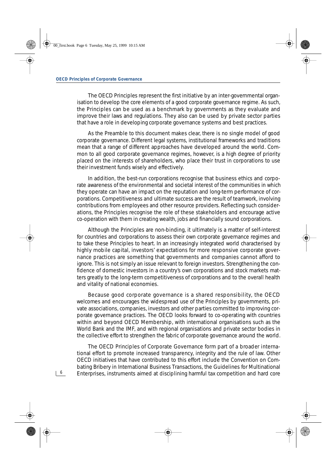*6*

The OECD Principles represent the first initiative by an inter-governmental organisation to develop the core elements of a good corporate governance regime. As such, the Principles can be used as a benchmark by governments as they evaluate and improve their laws and regulations. They also can be used by private sector parties that have a role in developing corporate governance systems and best practices.

As the Preamble to this document makes clear, there is no single model of good corporate governance. Different legal systems, institutional frameworks and traditions mean that a range of different approaches have developed around the world. Common to all good corporate governance regimes, however, is a high degree of priority placed on the interests of shareholders, who place their trust in corporations to use their investment funds wisely and effectively.

In addition, the best-run corporations recognise that business ethics and corporate awareness of the environmental and societal interest of the communities in which they operate can have an impact on the reputation and long-term performance of corporations. Competitiveness and ultimate success are the result of teamwork, involving contributions from employees and other resource providers. Reflecting such considerations, the Principles recognise the role of these stakeholders and encourage active co-operation with them in creating wealth, jobs and financially sound corporations.

Although the Principles are non-binding, it ultimately is a matter of self-interest for countries and corporations to assess their own corporate governance regimes and to take these Principles to heart. In an increasingly integrated world characterised by highly mobile capital, investors' expectations for more responsive corporate governance practices are something that governments and companies cannot afford to ignore. This is not simply an issue relevant to foreign investors. Strengthening the confidence of domestic investors in a country's own corporations and stock markets matters greatly to the long-term competitiveness of corporations and to the overall health and vitality of national economies.

Because good corporate governance is a shared responsibility, the OECD welcomes and encourages the widespread use of the Principles by governments, private associations, companies, investors and other parties committed to improving corporate governance practices. The OECD looks forward to co-operating with countries within and beyond OECD Membership, with international organisations such as the World Bank and the IMF, and with regional organisations and private sector bodies in the collective effort to strengthen the fabric of corporate governance around the world.

The OECD Principles of Corporate Governance form part of a broader international effort to promote increased transparency, integrity and the rule of law. Other OECD initiatives that have contributed to this effort include the Convention on Combating Bribery in International Business Transactions, the Guidelines for Multinational Enterprises, instruments aimed at disciplining harmful tax competition and hard core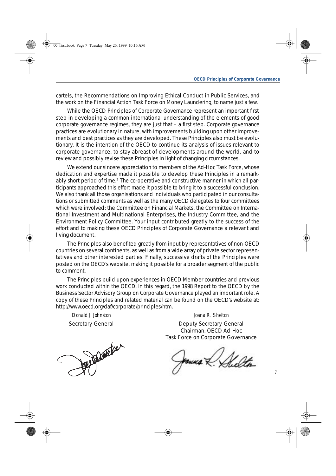cartels, the Recommendations on Improving Ethical Conduct in Public Services, and the work on the Financial Action Task Force on Money Laundering, to name just a few.

While the OECD Principles of Corporate Governance represent an important first step in developing a common international understanding of the elements of good corporate governance regimes, they are just that – a first step. Corporate governance practices are evolutionary in nature, with improvements building upon other improvements and best practices as they are developed. These Principles also must be evolutionary. It is the intention of the OECD to continue its analysis of issues relevant to corporate governance, to stay abreast of developments around the world, and to review and possibly revise these Principles in light of changing circumstances.

We extend our sincere appreciation to members of the Ad-Hoc Task Force, whose dedication and expertise made it possible to develop these Principles in a remarkably short period of time.<sup>2</sup> The co-operative and constructive manner in which all participants approached this effort made it possible to bring it to a successful conclusion. We also thank all those organisations and individuals who participated in our consultations or submitted comments as well as the many OECD delegates to four committees which were involved: the Committee on Financial Markets, the Committee on International Investment and Multinational Enterprises, the Industry Committee, and the Environment Policy Committee. Your input contributed greatly to the success of the effort and to making these OECD Principles of Corporate Governance a relevant and living document.

The Principles also benefited greatly from input by representatives of non-OECD countries on several continents, as well as from a wide array of private sector representatives and other interested parties. Finally, successive drafts of the Principles were posted on the OECD's website, making it possible for a broader segment of the public to comment.

The Principles build upon experiences in OECD Member countries and previous work conducted within the OECD. In this regard, the 1998 Report to the OECD by the Business Sector Advisory Group on Corporate Governance played an important role. A copy of these Principles and related material can be found on the OECD's website at: http://www.oecd.org/daf/corporate/principles/htm.

*Donald J. Johnston Joana R. Shelton*

bee percept

Secretary-General Deputy Secretary-General Chairman, OECD Ad-Hoc Task Force on Corporate Governance

Jours & Shelton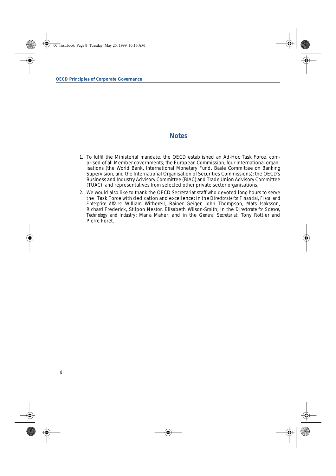## **Notes**

- 1. To fulfil the Ministerial mandate, the OECD established an Ad-Hoc Task Force, comprised of all Member governments; the European Commission; four international organisations (the World Bank, International Monetary Fund, Basle Committee on Banking Supervision, and the International Organisation of Securities Commissions); the OECD's Business and Industry Advisory Committee (BIAC) and Trade Union Advisory Committee (TUAC); and representatives from selected other private sector organisations.
- 2. We would also like to thank the OECD Secretariat staff who devoted long hours to serve the Task Force with dedication and excellence: in the *Directorate for Financial, Fiscal and Enterprise Affairs*: William Witherell, Rainer Geiger, John Thompson, Mats Isaksson, Richard Frederick, Stilpon Nestor, Elisabeth Wilson-Smith; in the *Directorate for Science, Technology and Industry*: Maria Maher; and in the *General Secretariat*: Tony Rottier and Pierre Poret.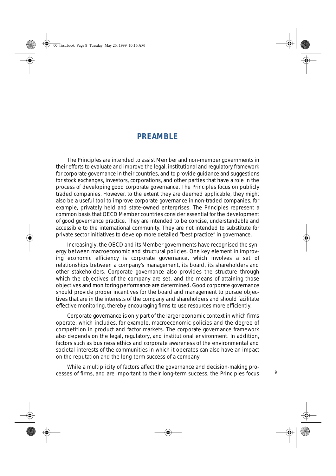## **PREAMBLE**

The Principles are intended to assist Member and non-member governments in their efforts to evaluate and improve the legal, institutional and regulatory framework for corporate governance in their countries, and to provide guidance and suggestions for stock exchanges, investors, corporations, and other parties that have a role in the process of developing good corporate governance. The Principles focus on publicly traded companies. However, to the extent they are deemed applicable, they might also be a useful tool to improve corporate governance in non-traded companies, for example, privately held and state-owned enterprises. The Principles represent a common basis that OECD Member countries consider essential for the development of good governance practice. They are intended to be concise, understandable and accessible to the international community. They are not intended to substitute for private sector initiatives to develop more detailed "best practice" in governance.

Increasingly, the OECD and its Member governments have recognised the synergy between macroeconomic and structural policies. One key element in improving economic efficiency is corporate governance, which involves a set of relationships between a company's management, its board, its shareholders and other stakeholders. Corporate governance also provides the structure through which the objectives of the company are set, and the means of attaining those objectives and monitoring performance are determined. Good corporate governance should provide proper incentives for the board and management to pursue objectives that are in the interests of the company and shareholders and should facilitate effective monitoring, thereby encouraging firms to use resources more efficiently.

Corporate governance is only part of the larger economic context in which firms operate, which includes, for example, macroeconomic policies and the degree of competition in product and factor markets. The corporate governance framework also depends on the legal, regulatory, and institutional environment. In addition, factors such as business ethics and corporate awareness of the environmental and societal interests of the communities in which it operates can also have an impact on the reputation and the long-term success of a company.

While a multiplicity of factors affect the governance and decision-making processes of firms, and are important to their long-term success, the Principles focus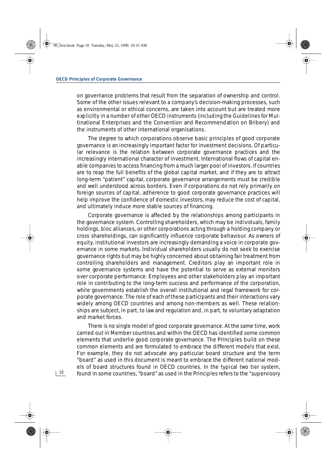*10*

on governance problems that result from the separation of ownership and control. Some of the other issues relevant to a company's decision-making processes, such as environmental or ethical concerns, are taken into account but are treated more explicitly in a number of other OECD instruments (including the Guidelines for Multinational Enterprises and the Convention and Recommendation on Bribery) and the instruments of other international organisations.

The degree to which corporations observe basic principles of good corporate governance is an increasingly important factor for investment decisions. Of particular relevance is the relation between corporate governance practices and the increasingly international character of investment. International flows of capital enable companies to access financing from a much larger pool of investors. If countries are to reap the full benefits of the global capital market, and if they are to attract long-term "patient" capital, corporate governance arrangements must be credible and well understood across borders. Even if corporations do not rely primarily on foreign sources of capital, adherence to good corporate governance practices will help improve the confidence of domestic investors, may reduce the cost of capital, and ultimately induce more stable sources of financing.

Corporate governance is affected by the relationships among participants in the governance system. Controlling shareholders, which may be individuals, family holdings, bloc alliances, or other corporations acting through a holding company or cross shareholdings, can significantly influence corporate behaviour. As owners of equity, institutional investors are increasingly demanding a voice in corporate governance in some markets. Individual shareholders usually do not seek to exercise governance rights but may be highly concerned about obtaining fair treatment from controlling shareholders and management. Creditors play an important role in some governance systems and have the potential to serve as external monitors over corporate performance. Employees and other stakeholders play an important role in contributing to the long-term success and performance of the corporation, while governments establish the overall institutional and legal framework for corporate governance. The role of each of these participants and their interactions vary widely among OECD countries and among non-members as well. These relationships are subject, in part, to law and regulation and, in part, to voluntary adaptation and market forces.

There is no single model of good corporate governance. At the same time, work carried out in Member countries and within the OECD has identified some common elements that underlie good corporate governance. The Principles build on these common elements and are formulated to embrace the different models that exist. For example, they do not advocate any particular board structure and the term "board" as used in this document is meant to embrace the different national models of board structures found in OECD countries. In the typical two tier system, found in some countries, "board" as used in the Principles refers to the "supervisory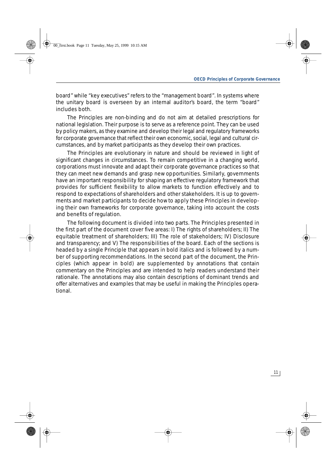board" while "key executives" refers to the "management board". In systems where the unitary board is overseen by an internal auditor's board, the term "board" includes both.

The Principles are non-binding and do not aim at detailed prescriptions for national legislation. Their purpose is to serve as a reference point. They can be used by policy makers, as they examine and develop their legal and regulatory frameworks for corporate governance that reflect their own economic, social, legal and cultural circumstances, and by market participants as they develop their own practices.

The Principles are evolutionary in nature and should be reviewed in light of significant changes in circumstances. To remain competitive in a changing world, corporations must innovate and adapt their corporate governance practices so that they can meet new demands and grasp new opportunities. Similarly, governments have an important responsibility for shaping an effective regulatory framework that provides for sufficient flexibility to allow markets to function effectively and to respond to expectations of shareholders and other stakeholders. It is up to governments and market participants to decide how to apply these Principles in developing their own frameworks for corporate governance, taking into account the costs and benefits of regulation.

The following document is divided into two parts. The Principles presented in the first part of the document cover five areas: I) The rights of shareholders; II) The equitable treatment of shareholders; III) The role of stakeholders; IV) Disclosure and transparency; and V) The responsibilities of the board. Each of the sections is headed by a single Principle that appears in bold italics and is followed by a number of supporting recommendations. In the second part of the document, the Principles (which appear in bold) are supplemented by annotations that contain commentary on the Principles and are intended to help readers understand their rationale. The annotations may also contain descriptions of dominant trends and offer alternatives and examples that may be useful in making the Principles operational.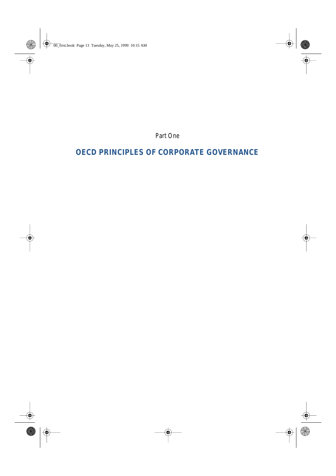*Part One*

**OECD PRINCIPLES OF CORPORATE GOVERNANCE**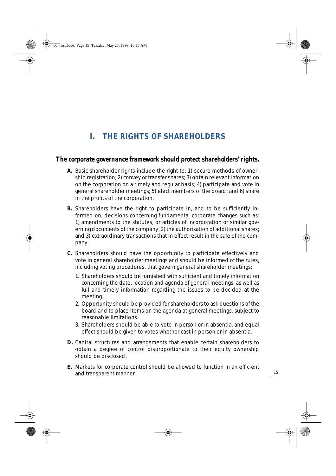# **I. THE RIGHTS OF SHAREHOLDERS**

## *The corporate governance framework should protect shareholders' rights.*

- **A.** Basic shareholder rights include the right to: 1) secure methods of ownership registration; 2) convey or transfer shares; 3) obtain relevant information on the corporation on a timely and regular basis; 4) participate and vote in general shareholder meetings; 5) elect members of the board; and 6) share in the profits of the corporation.
- **B.** Shareholders have the right to participate in, and to be sufficiently informed on, decisions concerning fundamental corporate changes such as: 1) amendments to the statutes, or articles of incorporation or similar governing documents of the company; 2) the authorisation of additional shares; and 3) extraordinary transactions that in effect result in the sale of the company.
- **C.** Shareholders should have the opportunity to participate effectively and vote in general shareholder meetings and should be informed of the rules, including voting procedures, that govern general shareholder meetings:
	- 1. Shareholders should be furnished with sufficient and timely information concerning the date, location and agenda of general meetings, as well as full and timely information regarding the issues to be decided at the meeting.
	- 2. Opportunity should be provided for shareholders to ask questions of the board and to place items on the agenda at general meetings, subject to reasonable limitations.
	- 3. Shareholders should be able to vote in person or in absentia, and equal effect should be given to votes whether cast in person or in absentia.
- **D.** Capital structures and arrangements that enable certain shareholders to obtain a degree of control disproportionate to their equity ownership should be disclosed.
- **E.** Markets for corporate control should be allowed to function in an efficient and transparent manner.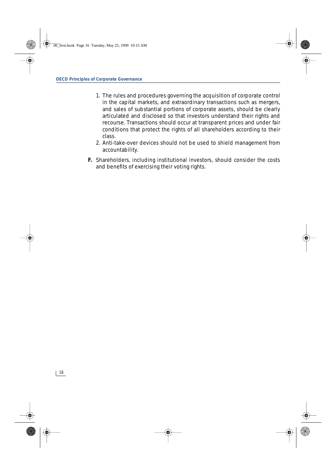- 1. The rules and procedures governing the acquisition of corporate control in the capital markets, and extraordinary transactions such as mergers, and sales of substantial portions of corporate assets, should be clearly articulated and disclosed so that investors understand their rights and recourse. Transactions should occur at transparent prices and under fair conditions that protect the rights of all shareholders according to their class.
- 2. Anti-take-over devices should not be used to shield management from accountability.
- **F.** Shareholders, including institutional investors, should consider the costs and benefits of exercising their voting rights.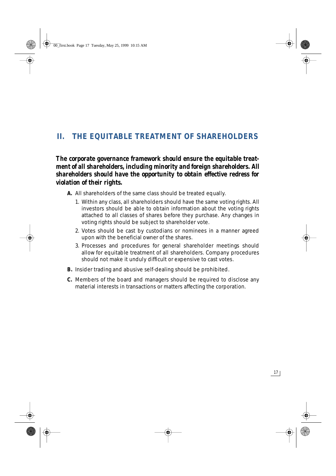# **II. THE EQUITABLE TREATMENT OF SHAREHOLDERS**

*The corporate governance framework should ensure the equitable treatment of all shareholders, including minority and foreign shareholders. All shareholders should have the opportunity to obtain effective redress for violation of their rights.*

- **A.** All shareholders of the same class should be treated equally.
	- 1. Within any class, all shareholders should have the same voting rights. All investors should be able to obtain information about the voting rights attached to all classes of shares before they purchase. Any changes in voting rights should be subject to shareholder vote.
	- 2. Votes should be cast by custodians or nominees in a manner agreed upon with the beneficial owner of the shares.
	- 3. Processes and procedures for general shareholder meetings should allow for equitable treatment of all shareholders. Company procedures should not make it unduly difficult or expensive to cast votes.
- **B.** Insider trading and abusive self-dealing should be prohibited.
- **C.** Members of the board and managers should be required to disclose any material interests in transactions or matters affecting the corporation.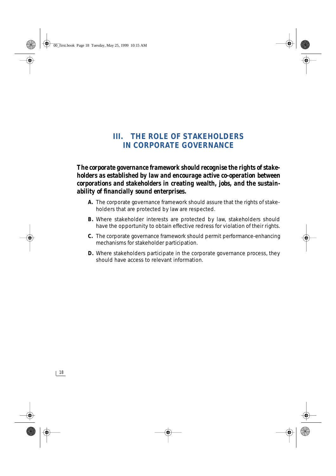# **III. THE ROLE OF STAKEHOLDERS IN CORPORATE GOVERNANCE**

## *The corporate governance framework should recognise the rights of stakeholders as established by law and encourage active co-operation between corporations and stakeholders in creating wealth, jobs, and the sustainability of financially sound enterprises.*

- **A.** The corporate governance framework should assure that the rights of stakeholders that are protected by law are respected.
- **B.** Where stakeholder interests are protected by law, stakeholders should have the opportunity to obtain effective redress for violation of their rights.
- **C.** The corporate governance framework should permit performance-enhancing mechanisms for stakeholder participation.
- **D.** Where stakeholders participate in the corporate governance process, they should have access to relevant information.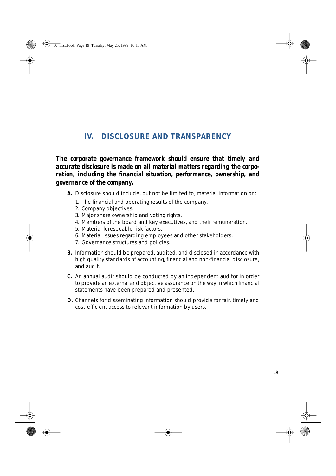# **IV. DISCLOSURE AND TRANSPARENCY**

*The corporate governance framework should ensure that timely and accurate disclosure is made on all material matters regarding the corporation, including the financial situation, performance, ownership, and governance of the company.*

- **A.** Disclosure should include, but not be limited to, material information on:
	- 1. The financial and operating results of the company.
	- 2. Company objectives.
	- 3. Major share ownership and voting rights.
	- 4. Members of the board and key executives, and their remuneration.
	- 5. Material foreseeable risk factors.
	- 6. Material issues regarding employees and other stakeholders.
	- 7. Governance structures and policies.
- **B.** Information should be prepared, audited, and disclosed in accordance with high quality standards of accounting, financial and non-financial disclosure, and audit.
- **C.** An annual audit should be conducted by an independent auditor in order to provide an external and objective assurance on the way in which financial statements have been prepared and presented.
- **D.** Channels for disseminating information should provide for fair, timely and cost-efficient access to relevant information by users.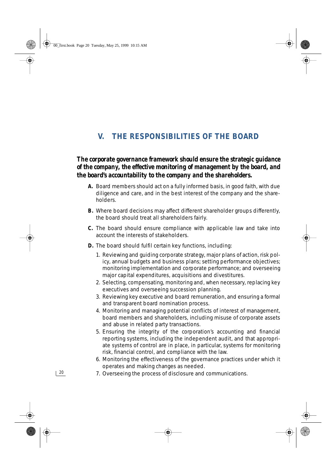# **V. THE RESPONSIBILITIES OF THE BOARD**

## *The corporate governance framework should ensure the strategic guidance of the company, the effective monitoring of management by the board, and the board's accountability to the company and the shareholders.*

- **A.** Board members should act on a fully informed basis, in good faith, with due diligence and care, and in the best interest of the company and the shareholders.
- **B.** Where board decisions may affect different shareholder groups differently, the board should treat all shareholders fairly.
- **C.** The board should ensure compliance with applicable law and take into account the interests of stakeholders.
- **D.** The board should fulfil certain key functions, including:
	- 1. Reviewing and guiding corporate strategy, major plans of action, risk policy, annual budgets and business plans; setting performance objectives; monitoring implementation and corporate performance; and overseeing major capital expenditures, acquisitions and divestitures.
	- 2. Selecting, compensating, monitoring and, when necessary, replacing key executives and overseeing succession planning.
	- 3. Reviewing key executive and board remuneration, and ensuring a formal and transparent board nomination process.
	- 4. Monitoring and managing potential conflicts of interest of management, board members and shareholders, including misuse of corporate assets and abuse in related party transactions.
	- 5. Ensuring the integrity of the corporation's accounting and financial reporting systems, including the independent audit, and that appropriate systems of control are in place, in particular, systems for monitoring risk, financial control, and compliance with the law.
	- 6. Monitoring the effectiveness of the governance practices under which it operates and making changes as needed.
	- 7. Overseeing the process of disclosure and communications.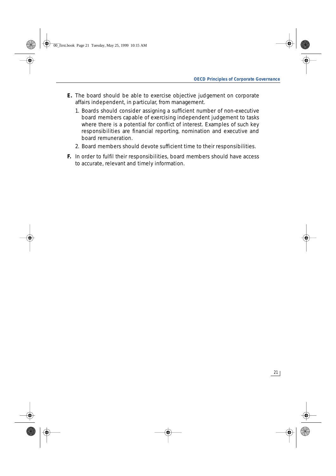- **E.** The board should be able to exercise objective judgement on corporate affairs independent, in particular, from management.
	- 1. Boards should consider assigning a sufficient number of non-executive board members capable of exercising independent judgement to tasks where there is a potential for conflict of interest. Examples of such key responsibilities are financial reporting, nomination and executive and board remuneration.
	- 2. Board members should devote sufficient time to their responsibilities.
- **F.** In order to fulfil their responsibilities, board members should have access to accurate, relevant and timely information.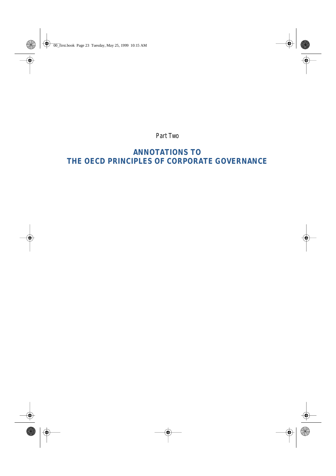*Part Two*

**ANNOTATIONS TO THE OECD PRINCIPLES OF CORPORATE GOVERNANCE**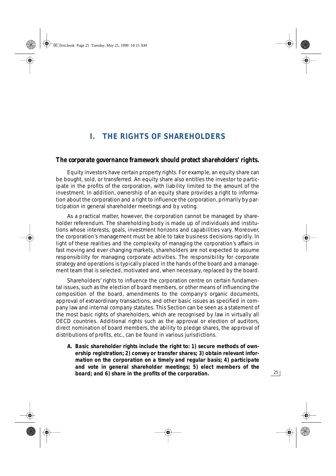# **I. THE RIGHTS OF SHAREHOLDERS**

#### *The corporate governance framework should protect shareholders' rights.*

Equity investors have certain property rights. For example, an equity share can be bought, sold, or transferred. An equity share also entitles the investor to participate in the profits of the corporation, with liability limited to the amount of the investment. In addition, ownership of an equity share provides a right to information about the corporation and a right to influence the corporation, primarily by participation in general shareholder meetings and by voting.

As a practical matter, however, the corporation cannot be managed by shareholder referendum. The shareholding body is made up of individuals and institutions whose interests, goals, investment horizons and capabilities vary. Moreover, the corporation's management must be able to take business decisions rapidly. In light of these realities and the complexity of managing the corporation's affairs in fast moving and ever changing markets, shareholders are not expected to assume responsibility for managing corporate activities. The responsibility for corporate strategy and operations is typically placed in the hands of the board and a management team that is selected, motivated and, when necessary, replaced by the board.

Shareholders' rights to influence the corporation centre on certain fundamental issues, such as the election of board members, or other means of influencing the composition of the board, amendments to the company's organic documents, approval of extraordinary transactions, and other basic issues as specified in company law and internal company statutes. This Section can be seen as a statement of the most basic rights of shareholders, which are recognised by law in virtually all OECD countries. Additional rights such as the approval or election of auditors, direct nomination of board members, the ability to pledge shares, the approval of distributions of profits, etc., can be found in various jurisdictions.

**A. Basic shareholder rights include the right to: 1) secure methods of ownership registration; 2) convey or transfer shares; 3) obtain relevant information on the corporation on a timely and regular basis; 4) participate and vote in general shareholder meetings; 5) elect members of the board; and 6) share in the profits of the corporation.**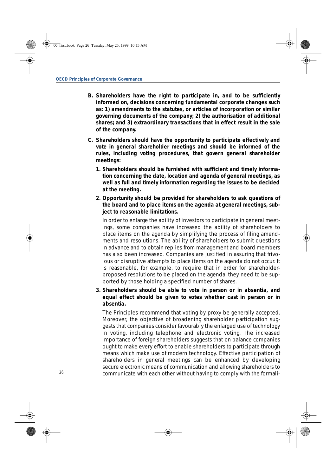- **B. Shareholders have the right to participate in, and to be sufficiently informed on, decisions concerning fundamental corporate changes such as: 1) amendments to the statutes, or articles of incorporation or similar governing documents of the company; 2) the authorisation of additional shares; and 3) extraordinary transactions that in effect result in the sale of the company.**
- **C. Shareholders should have the opportunity to participate effectively and vote in general shareholder meetings and should be informed of the rules, including voting procedures, that govern general shareholder meetings:**
	- **1. Shareholders should be furnished with sufficient and timely information concerning the date, location and agenda of general meetings, as well as full and timely information regarding the issues to be decided at the meeting.**
	- **2. Opportunity should be provided for shareholders to ask questions of the board and to place items on the agenda at general meetings, subject to reasonable limitations.**

In order to enlarge the ability of investors to participate in general meetings, some companies have increased the ability of shareholders to place items on the agenda by simplifying the process of filing amendments and resolutions. The ability of shareholders to submit questions in advance and to obtain replies from management and board members has also been increased. Companies are justified in assuring that frivolous or disruptive attempts to place items on the agenda do not occur. It is reasonable, for example, to require that in order for shareholderproposed resolutions to be placed on the agenda, they need to be supported by those holding a specified number of shares.

**3. Shareholders should be able to vote in person or in absentia, and equal effect should be given to votes whether cast in person or in absentia.** 

The Principles recommend that voting by proxy be generally accepted. Moreover, the objective of broadening shareholder participation suggests that companies consider favourably the enlarged use of technology in voting, including telephone and electronic voting. The increased importance of foreign shareholders suggests that on balance companies ought to make every effort to enable shareholders to participate through means which make use of modern technology. Effective participation of shareholders in general meetings can be enhanced by developing secure electronic means of communication and allowing shareholders to communicate with each other without having to comply with the formali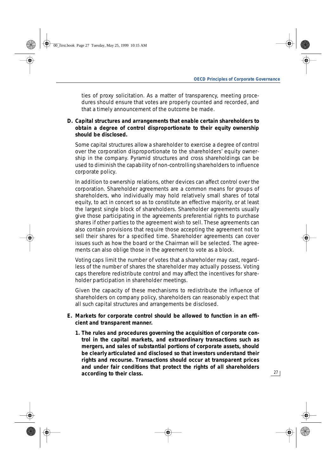ties of proxy solicitation. As a matter of transparency, meeting procedures should ensure that votes are properly counted and recorded, and that a timely announcement of the outcome be made.

#### **D. Capital structures and arrangements that enable certain shareholders to obtain a degree of control disproportionate to their equity ownership should be disclosed.**

Some capital structures allow a shareholder to exercise a degree of control over the corporation disproportionate to the shareholders' equity ownership in the company. Pyramid structures and cross shareholdings can be used to diminish the capability of non-controlling shareholders to influence corporate policy.

In addition to ownership relations, other devices can affect control over the corporation. Shareholder agreements are a common means for groups of shareholders, who individually may hold relatively small shares of total equity, to act in concert so as to constitute an effective majority, or at least the largest single block of shareholders. Shareholder agreements usually give those participating in the agreements preferential rights to purchase shares if other parties to the agreement wish to sell. These agreements can also contain provisions that require those accepting the agreement not to sell their shares for a specified time. Shareholder agreements can cover issues such as how the board or the Chairman will be selected. The agreements can also oblige those in the agreement to vote as a block.

Voting caps limit the number of votes that a shareholder may cast, regardless of the number of shares the shareholder may actually possess. Voting caps therefore redistribute control and may affect the incentives for shareholder participation in shareholder meetings.

Given the capacity of these mechanisms to redistribute the influence of shareholders on company policy, shareholders can reasonably expect that all such capital structures and arrangements be disclosed.

#### **E. Markets for corporate control should be allowed to function in an efficient and transparent manner.**

**1. The rules and procedures governing the acquisition of corporate control in the capital markets, and extraordinary transactions such as mergers, and sales of substantial portions of corporate assets, should be clearly articulated and disclosed so that investors understand their rights and recourse. Transactions should occur at transparent prices and under fair conditions that protect the rights of all shareholders according to their class.**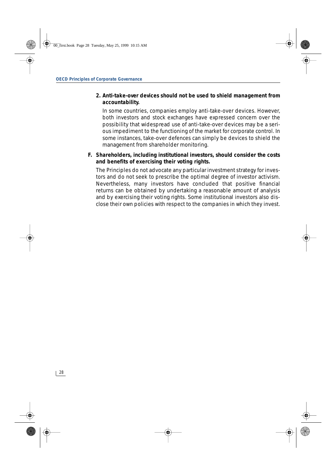#### **2. Anti-take-over devices should not be used to shield management from accountability.**

In some countries, companies employ anti-take-over devices. However, both investors and stock exchanges have expressed concern over the possibility that widespread use of anti-take-over devices may be a serious impediment to the functioning of the market for corporate control. In some instances, take-over defences can simply be devices to shield the management from shareholder monitoring.

#### **F. Shareholders, including institutional investors, should consider the costs and benefits of exercising their voting rights.**

The Principles do not advocate any particular investment strategy for investors and do not seek to prescribe the optimal degree of investor activism. Nevertheless, many investors have concluded that positive financial returns can be obtained by undertaking a reasonable amount of analysis and by exercising their voting rights. Some institutional investors also disclose their own policies with respect to the companies in which they invest.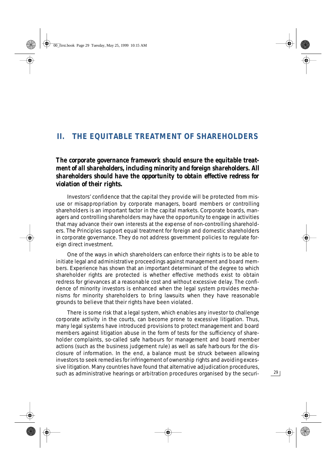# **II. THE EQUITABLE TREATMENT OF SHAREHOLDERS**

*The corporate governance framework should ensure the equitable treatment of all shareholders, including minority and foreign shareholders. All shareholders should have the opportunity to obtain effective redress for violation of their rights.*

Investors' confidence that the capital they provide will be protected from misuse or misappropriation by corporate managers, board members or controlling shareholders is an important factor in the capital markets. Corporate boards, managers and controlling shareholders may have the opportunity to engage in activities that may advance their own interests at the expense of non-controlling shareholders. The Principles support equal treatment for foreign and domestic shareholders in corporate governance. They do not address government policies to regulate foreign direct investment.

One of the ways in which shareholders can enforce their rights is to be able to initiate legal and administrative proceedings against management and board members. Experience has shown that an important determinant of the degree to which shareholder rights are protected is whether effective methods exist to obtain redress for grievances at a reasonable cost and without excessive delay. The confidence of minority investors is enhanced when the legal system provides mechanisms for minority shareholders to bring lawsuits when they have reasonable grounds to believe that their rights have been violated.

There is some risk that a legal system, which enables any investor to challenge corporate activity in the courts, can become prone to excessive litigation. Thus, many legal systems have introduced provisions to protect management and board members against litigation abuse in the form of tests for the sufficiency of shareholder complaints, so-called safe harbours for management and board member actions (such as the business judgement rule) as well as safe harbours for the disclosure of information. In the end, a balance must be struck between allowing investors to seek remedies for infringement of ownership rights and avoiding excessive litigation. Many countries have found that alternative adjudication procedures, such as administrative hearings or arbitration procedures organised by the securi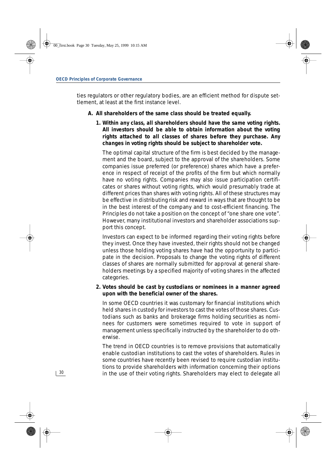ties regulators or other regulatory bodies, are an efficient method for dispute settlement, at least at the first instance level.

- **A. All shareholders of the same class should be treated equally.**
	- **1. Within any class, all shareholders should have the same voting rights. All investors should be able to obtain information about the voting rights attached to all classes of shares before they purchase. Any changes in voting rights should be subject to shareholder vote.**

The optimal capital structure of the firm is best decided by the management and the board, subject to the approval of the shareholders. Some companies issue preferred (or preference) shares which have a preference in respect of receipt of the profits of the firm but which normally have no voting rights. Companies may also issue participation certificates or shares without voting rights, which would presumably trade at different prices than shares with voting rights. All of these structures may be effective in distributing risk and reward in ways that are thought to be in the best interest of the company and to cost-efficient financing. The Principles do not take a position on the concept of "one share one vote". However, many institutional investors and shareholder associations support this concept.

Investors can expect to be informed regarding their voting rights before they invest. Once they have invested, their rights should not be changed unless those holding voting shares have had the opportunity to participate in the decision. Proposals to change the voting rights of different classes of shares are normally submitted for approval at general shareholders meetings by a specified majority of voting shares in the affected categories.

#### **2. Votes should be cast by custodians or nominees in a manner agreed upon with the beneficial owner of the shares.**

In some OECD countries it was customary for financial institutions which held shares in custody for investors to cast the votes of those shares. Custodians such as banks and brokerage firms holding securities as nominees for customers were sometimes required to vote in support of management unless specifically instructed by the shareholder to do otherwise.

The trend in OECD countries is to remove provisions that automatically enable custodian institutions to cast the votes of shareholders. Rules in some countries have recently been revised to require custodian institutions to provide shareholders with information concerning their options in the use of their voting rights. Shareholders may elect to delegate all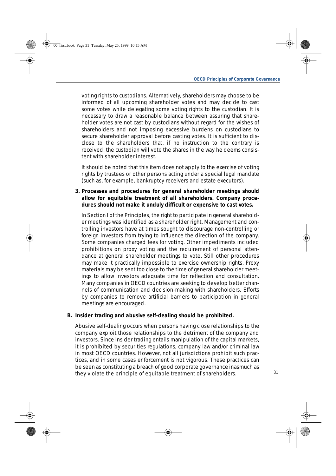voting rights to custodians. Alternatively, shareholders may choose to be informed of all upcoming shareholder votes and may decide to cast some votes while delegating some voting rights to the custodian. It is necessary to draw a reasonable balance between assuring that shareholder votes are not cast by custodians without regard for the wishes of shareholders and not imposing excessive burdens on custodians to secure shareholder approval before casting votes. It is sufficient to disclose to the shareholders that, if no instruction to the contrary is received, the custodian will vote the shares in the way he deems consistent with shareholder interest.

It should be noted that this item does not apply to the exercise of voting rights by trustees or other persons acting under a special legal mandate (such as, for example, bankruptcy receivers and estate executors).

#### **3. Processes and procedures for general shareholder meetings should allow for equitable treatment of all shareholders. Company procedures should not make it unduly difficult or expensive to cast votes.**

In Section I of the Principles, the right to participate in general shareholder meetings was identified as a shareholder right. Management and controlling investors have at times sought to discourage non-controlling or foreign investors from trying to influence the direction of the company. Some companies charged fees for voting. Other impediments included prohibitions on proxy voting and the requirement of personal attendance at general shareholder meetings to vote. Still other procedures may make it practically impossible to exercise ownership rights. Proxy materials may be sent too close to the time of general shareholder meetings to allow investors adequate time for reflection and consultation. Many companies in OECD countries are seeking to develop better channels of communication and decision-making with shareholders. Efforts by companies to remove artificial barriers to participation in general meetings are encouraged.

#### **B. Insider trading and abusive self-dealing should be prohibited.**

Abusive self-dealing occurs when persons having close relationships to the company exploit those relationships to the detriment of the company and investors. Since insider trading entails manipulation of the capital markets, it is prohibited by securities regulations, company law and/or criminal law in most OECD countries. However, not all jurisdictions prohibit such practices, and in some cases enforcement is not vigorous. These practices can be seen as constituting a breach of good corporate governance inasmuch as they violate the principle of equitable treatment of shareholders.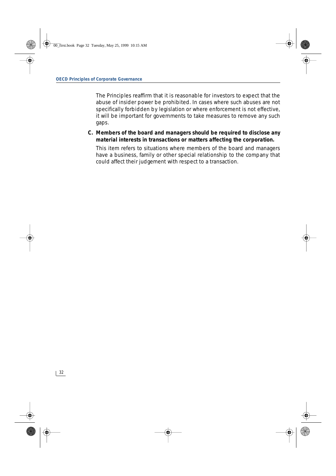The Principles reaffirm that it is reasonable for investors to expect that the abuse of insider power be prohibited. In cases where such abuses are not specifically forbidden by legislation or where enforcement is not effective, it will be important for governments to take measures to remove any such gaps.

**C. Members of the board and managers should be required to disclose any material interests in transactions or matters affecting the corporation.**

This item refers to situations where members of the board and managers have a business, family or other special relationship to the company that could affect their judgement with respect to a transaction.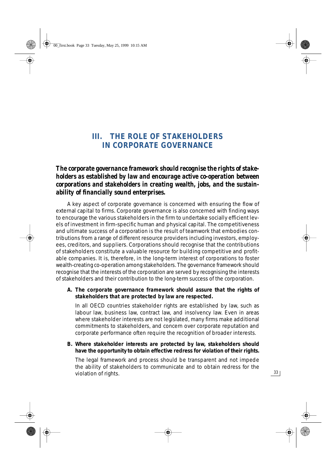# **III. THE ROLE OF STAKEHOLDERS IN CORPORATE GOVERNANCE**

## *The corporate governance framework should recognise the rights of stakeholders as established by law and encourage active co-operation between corporations and stakeholders in creating wealth, jobs, and the sustainability of financially sound enterprises.*

A key aspect of corporate governance is concerned with ensuring the flow of external capital to firms. Corporate governance is also concerned with finding ways to encourage the various stakeholders in the firm to undertake socially efficient levels of investment in firm-specific human and physical capital. The competitiveness and ultimate success of a corporation is the result of teamwork that embodies contributions from a range of different resource providers including investors, employees, creditors, and suppliers. Corporations should recognise that the contributions of stakeholders constitute a valuable resource for building competitive and profitable companies. It is, therefore, in the long-term interest of corporations to foster wealth-creating co-operation among stakeholders. The governance framework should recognise that the interests of the corporation are served by recognising the interests of stakeholders and their contribution to the long-term success of the corporation.

#### **A. The corporate governance framework should assure that the rights of stakeholders that are protected by law are respected.**

In all OECD countries stakeholder rights are established by law, such as labour law, business law, contract law, and insolvency law. Even in areas where stakeholder interests are not legislated, many firms make additional commitments to stakeholders, and concern over corporate reputation and corporate performance often require the recognition of broader interests.

#### **B. Where stakeholder interests are protected by law, stakeholders should have the opportunity to obtain effective redress for violation of their rights.**

The legal framework and process should be transparent and not impede the ability of stakeholders to communicate and to obtain redress for the violation of rights.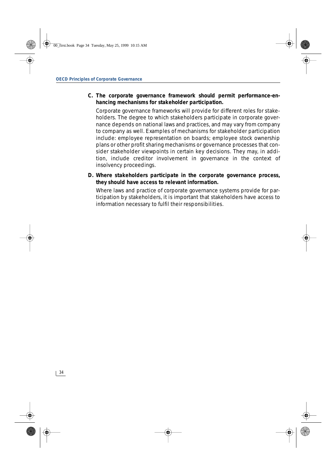#### **C. The corporate governance framework should permit performance-enhancing mechanisms for stakeholder participation.**

Corporate governance frameworks will provide for different roles for stakeholders. The degree to which stakeholders participate in corporate governance depends on national laws and practices, and may vary from company to company as well. Examples of mechanisms for stakeholder participation include: employee representation on boards; employee stock ownership plans or other profit sharing mechanisms or governance processes that consider stakeholder viewpoints in certain key decisions. They may, in addition, include creditor involvement in governance in the context of insolvency proceedings.

#### **D. Where stakeholders participate in the corporate governance process, they should have access to relevant information.**

Where laws and practice of corporate governance systems provide for participation by stakeholders, it is important that stakeholders have access to information necessary to fulfil their responsibilities.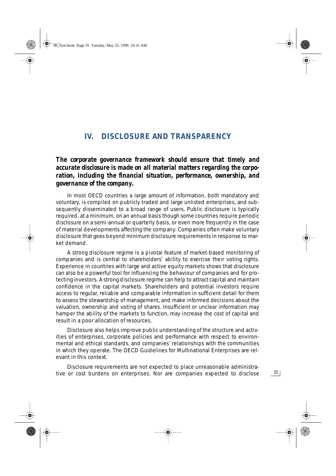## **IV. DISCLOSURE AND TRANSPARENCY**

## *The corporate governance framework should ensure that timely and accurate disclosure is made on all material matters regarding the corporation, including the financial situation, performance, ownership, and governance of the company.*

In most OECD countries a large amount of information, both mandatory and voluntary, is compiled on publicly traded and large unlisted enterprises, and subsequently disseminated to a broad range of users. Public disclosure is typically required, at a minimum, on an annual basis though some countries require periodic disclosure on a semi-annual or quarterly basis, or even more frequently in the case of material developments affecting the company. Companies often make voluntary disclosure that goes beyond minimum disclosure requirements in response to market demand.

A strong disclosure regime is a pivotal feature of market-based monitoring of companies and is central to shareholders' ability to exercise their voting rights. Experience in countries with large and active equity markets shows that disclosure can also be a powerful tool for influencing the behaviour of companies and for protecting investors. A strong disclosure regime can help to attract capital and maintain confidence in the capital markets. Shareholders and potential investors require access to regular, reliable and comparable information in sufficient detail for them to assess the stewardship of management, and make informed decisions about the valuation, ownership and voting of shares. Insufficient or unclear information may hamper the ability of the markets to function, may increase the cost of capital and result in a poor allocation of resources.

Disclosure also helps improve public understanding of the structure and activities of enterprises, corporate policies and performance with respect to environmental and ethical standards, and companies' relationships with the communities in which they operate. The OECD Guidelines for Multinational Enterprises are relevant in this context.

Disclosure requirements are not expected to place unreasonable administrative or cost burdens on enterprises. Nor are companies expected to disclose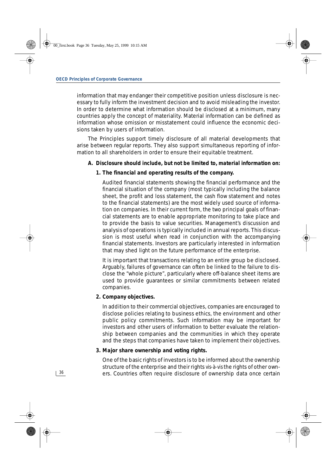information that may endanger their competitive position unless disclosure is necessary to fully inform the investment decision and to avoid misleading the investor. In order to determine what information should be disclosed at a minimum, many countries apply the concept of materiality. Material information can be defined as information whose omission or misstatement could influence the economic decisions taken by users of information.

The Principles support timely disclosure of all material developments that arise between regular reports. They also support simultaneous reporting of information to all shareholders in order to ensure their equitable treatment.

#### **A. Disclosure should include, but not be limited to, material information on:**

#### **1. The financial and operating results of the company.**

Audited financial statements showing the financial performance and the financial situation of the company (most typically including the balance sheet, the profit and loss statement, the cash flow statement and notes to the financial statements) are the most widely used source of information on companies. In their current form, the two principal goals of financial statements are to enable appropriate monitoring to take place and to provide the basis to value securities. Management's discussion and analysis of operations is typically included in annual reports. This discussion is most useful when read in conjunction with the accompanying financial statements. Investors are particularly interested in information that may shed light on the future performance of the enterprise.

It is important that transactions relating to an entire group be disclosed. Arguably, failures of governance can often be linked to the failure to disclose the "whole picture", particularly where off-balance sheet items are used to provide guarantees or similar commitments between related companies.

#### **2. Company objectives.**

In addition to their commercial objectives, companies are encouraged to disclose policies relating to business ethics, the environment and other public policy commitments. Such information may be important for investors and other users of information to better evaluate the relationship between companies and the communities in which they operate and the steps that companies have taken to implement their objectives.

#### **3. Major share ownership and voting rights.**

One of the basic rights of investors is to be informed about the ownership structure of the enterprise and their rights *vis-à-vis* the rights of other owners. Countries often require disclosure of ownership data once certain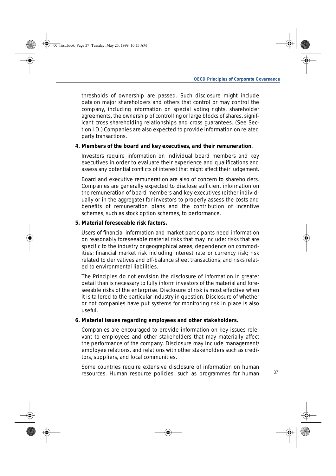thresholds of ownership are passed. Such disclosure might include data on major shareholders and others that control or may control the company, including information on special voting rights, shareholder agreements, the ownership of controlling or large blocks of shares, significant cross shareholding relationships and cross guarantees. (See Section I.D.) Companies are also expected to provide information on related party transactions.

#### **4. Members of the board and key executives, and their remuneration.**

Investors require information on individual board members and key executives in order to evaluate their experience and qualifications and assess any potential conflicts of interest that might affect their judgement.

Board and executive remuneration are also of concern to shareholders. Companies are generally expected to disclose sufficient information on the remuneration of board members and key executives (either individually or in the aggregate) for investors to properly assess the costs and benefits of remuneration plans and the contribution of incentive schemes, such as stock option schemes, to performance.

#### **5. Material foreseeable risk factors.**

Users of financial information and market participants need information on reasonably foreseeable material risks that may include: risks that are specific to the industry or geographical areas; dependence on commodities; financial market risk including interest rate or currency risk; risk related to derivatives and off-balance sheet transactions; and risks related to environmental liabilities.

The Principles do not envision the disclosure of information in greater detail than is necessary to fully inform investors of the material and foreseeable risks of the enterprise. Disclosure of risk is most effective when it is tailored to the particular industry in question. Disclosure of whether or not companies have put systems for monitoring risk in place is also useful.

#### **6. Material issues regarding employees and other stakeholders.**

Companies are encouraged to provide information on key issues relevant to employees and other stakeholders that may materially affect the performance of the company. Disclosure may include management/ employee relations, and relations with other stakeholders such as creditors, suppliers, and local communities.

Some countries require extensive disclosure of information on human resources. Human resource policies, such as programmes for human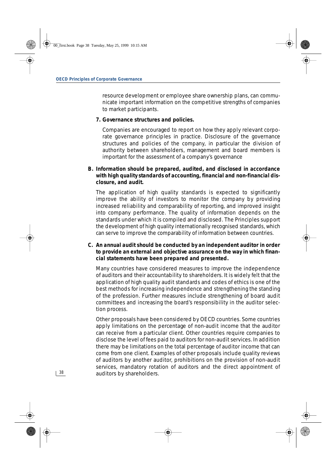resource development or employee share ownership plans, can communicate important information on the competitive strengths of companies to market participants.

#### **7. Governance structures and policies.**

Companies are encouraged to report on how they apply relevant corporate governance principles in practice. Disclosure of the governance structures and policies of the company, in particular the division of authority between shareholders, management and board members is important for the assessment of a company's governance

#### **B. Information should be prepared, audited, and disclosed in accordance with high quality standards of accounting, financial and non-financial disclosure, and audit.**

The application of high quality standards is expected to significantly improve the ability of investors to monitor the company by providing increased reliability and comparability of reporting, and improved insight into company performance. The quality of information depends on the standards under which it is compiled and disclosed. The Principles support the development of high quality internationally recognised standards, which can serve to improve the comparability of information between countries.

#### **C. An annual audit should be conducted by an independent auditor in order to provide an external and objective assurance on the way in which financial statements have been prepared and presented.**

Many countries have considered measures to improve the independence of auditors and their accountability to shareholders. It is widely felt that the application of high quality audit standards and codes of ethics is one of the best methods for increasing independence and strengthening the standing of the profession. Further measures include strengthening of board audit committees and increasing the board's responsibility in the auditor selection process.

Other proposals have been considered by OECD countries. Some countries apply limitations on the percentage of non-audit income that the auditor can receive from a particular client. Other countries require companies to disclose the level of fees paid to auditors for non-audit services. In addition there may be limitations on the total percentage of auditor income that can come from one client. Examples of other proposals include quality reviews of auditors by another auditor, prohibitions on the provision of non-audit services, mandatory rotation of auditors and the direct appointment of auditors by shareholders.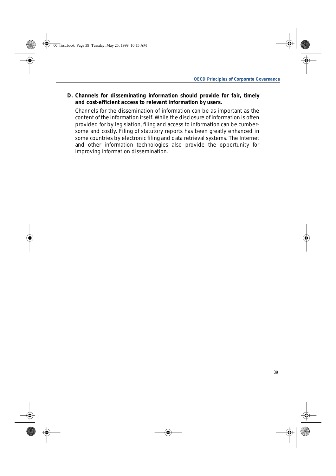#### **D. Channels for disseminating information should provide for fair, timely and cost-efficient access to relevant information by users.**

Channels for the dissemination of information can be as important as the content of the information itself. While the disclosure of information is often provided for by legislation, filing and access to information can be cumbersome and costly. Filing of statutory reports has been greatly enhanced in some countries by electronic filing and data retrieval systems. The Internet and other information technologies also provide the opportunity for improving information dissemination.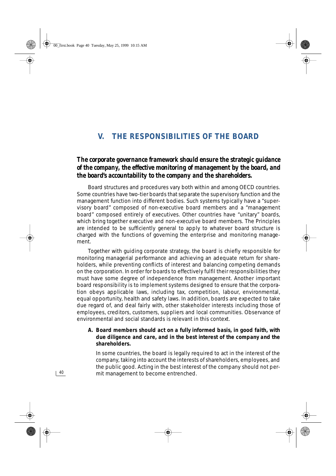# **V. THE RESPONSIBILITIES OF THE BOARD**

## *The corporate governance framework should ensure the strategic guidance of the company, the effective monitoring of management by the board, and the board's accountability to the company and the shareholders.*

Board structures and procedures vary both within and among OECD countries. Some countries have two-tier boards that separate the supervisory function and the management function into different bodies. Such systems typically have a "supervisory board" composed of non-executive board members and a "management board" composed entirely of executives. Other countries have "unitary" boards, which bring together executive and non-executive board members. The Principles are intended to be sufficiently general to apply to whatever board structure is charged with the functions of governing the enterprise and monitoring management.

Together with guiding corporate strategy, the board is chiefly responsible for monitoring managerial performance and achieving an adequate return for shareholders, while preventing conflicts of interest and balancing competing demands on the corporation. In order for boards to effectively fulfil their responsibilities they must have some degree of independence from management. Another important board responsibility is to implement systems designed to ensure that the corporation obeys applicable laws, including tax, competition, labour, environmental, equal opportunity, health and safety laws. In addition, boards are expected to take due regard of, and deal fairly with, other stakeholder interests including those of employees, creditors, customers, suppliers and local communities. Observance of environmental and social standards is relevant in this context.

#### **A. Board members should act on a fully informed basis, in good faith, with due diligence and care, and in the best interest of the company and the shareholders.**

In some countries, the board is legally required to act in the interest of the company, taking into account the interests of shareholders, employees, and the public good. Acting in the best interest of the company should not permit management to become entrenched.

 *40*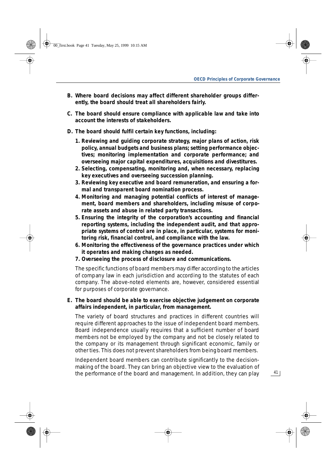- **B. Where board decisions may affect different shareholder groups differently, the board should treat all shareholders fairly.**
- **C. The board should ensure compliance with applicable law and take into account the interests of stakeholders.**
- **D. The board should fulfil certain key functions, including:** 
	- **1. Reviewing and guiding corporate strategy, major plans of action, risk policy, annual budgets and business plans; setting performance objectives; monitoring implementation and corporate performance; and overseeing major capital expenditures, acquisitions and divestitures.**
	- **2. Selecting, compensating, monitoring and, when necessary, replacing key executives and overseeing succession planning.**
	- **3. Reviewing key executive and board remuneration, and ensuring a formal and transparent board nomination process.**
	- **4. Monitoring and managing potential conflicts of interest of management, board members and shareholders, including misuse of corporate assets and abuse in related party transactions.**
	- **5. Ensuring the integrity of the corporation's accounting and financial reporting systems, including the independent audit, and that appropriate systems of control are in place, in particular, systems for monitoring risk, financial control, and compliance with the law.**
	- **6. Monitoring the effectiveness of the governance practices under which it operates and making changes as needed.**
	- **7. Overseeing the process of disclosure and communications.**

The specific functions of board members may differ according to the articles of company law in each jurisdiction and according to the statutes of each company. The above-noted elements are, however, considered essential for purposes of corporate governance.

#### **E. The board should be able to exercise objective judgement on corporate affairs independent, in particular, from management.**

The variety of board structures and practices in different countries will require different approaches to the issue of independent board members. Board independence usually requires that a sufficient number of board members not be employed by the company and not be closely related to the company or its management through significant economic, family or other ties. This does not prevent shareholders from being board members.

Independent board members can contribute significantly to the decisionmaking of the board. They can bring an objective view to the evaluation of the performance of the board and management. In addition, they can play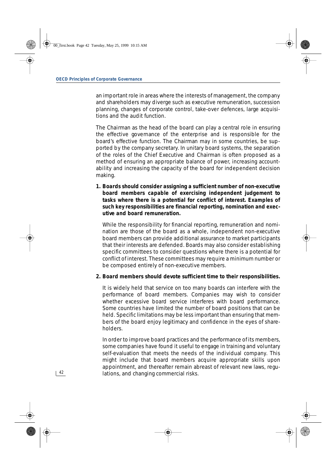an important role in areas where the interests of management, the company and shareholders may diverge such as executive remuneration, succession planning, changes of corporate control, take-over defences, large acquisitions and the audit function.

The Chairman as the head of the board can play a central role in ensuring the effective governance of the enterprise and is responsible for the board's effective function. The Chairman may in some countries, be supported by the company secretary. In unitary board systems, the separation of the roles of the Chief Executive and Chairman is often proposed as a method of ensuring an appropriate balance of power, increasing accountability and increasing the capacity of the board for independent decision making.

**1. Boards should consider assigning a sufficient number of non-executive board members capable of exercising independent judgement to tasks where there is a potential for conflict of interest. Examples of such key responsibilities are financial reporting, nomination and executive and board remuneration.** 

While the responsibility for financial reporting, remuneration and nomination are those of the board as a whole, independent non-executive board members can provide additional assurance to market participants that their interests are defended. Boards may also consider establishing specific committees to consider questions where there is a potential for conflict of interest. These committees may require a minimum number or be composed entirely of non-executive members.

#### **2. Board members should devote sufficient time to their responsibilities.**

It is widely held that service on too many boards can interfere with the performance of board members. Companies may wish to consider whether excessive board service interferes with board performance. Some countries have limited the number of board positions that can be held. Specific limitations may be less important than ensuring that members of the board enjoy legitimacy and confidence in the eyes of shareholders.

In order to improve board practices and the performance of its members, some companies have found it useful to engage in training and voluntary self-evaluation that meets the needs of the individual company. This might include that board members acquire appropriate skills upon appointment, and thereafter remain abreast of relevant new laws, regulations, and changing commercial risks.

 *42*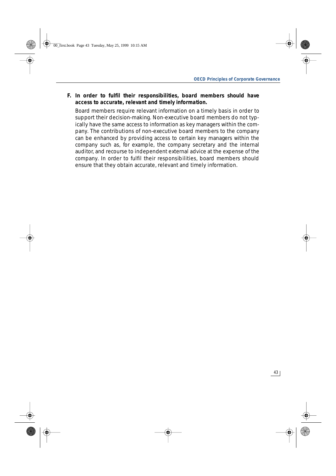#### **F. In order to fulfil their responsibilities, board members should have access to accurate, relevant and timely information.**

Board members require relevant information on a timely basis in order to support their decision-making. Non-executive board members do not typically have the same access to information as key managers within the company. The contributions of non-executive board members to the company can be enhanced by providing access to certain key managers within the company such as, for example, the company secretary and the internal auditor, and recourse to independent external advice at the expense of the company. In order to fulfil their responsibilities, board members should ensure that they obtain accurate, relevant and timely information.